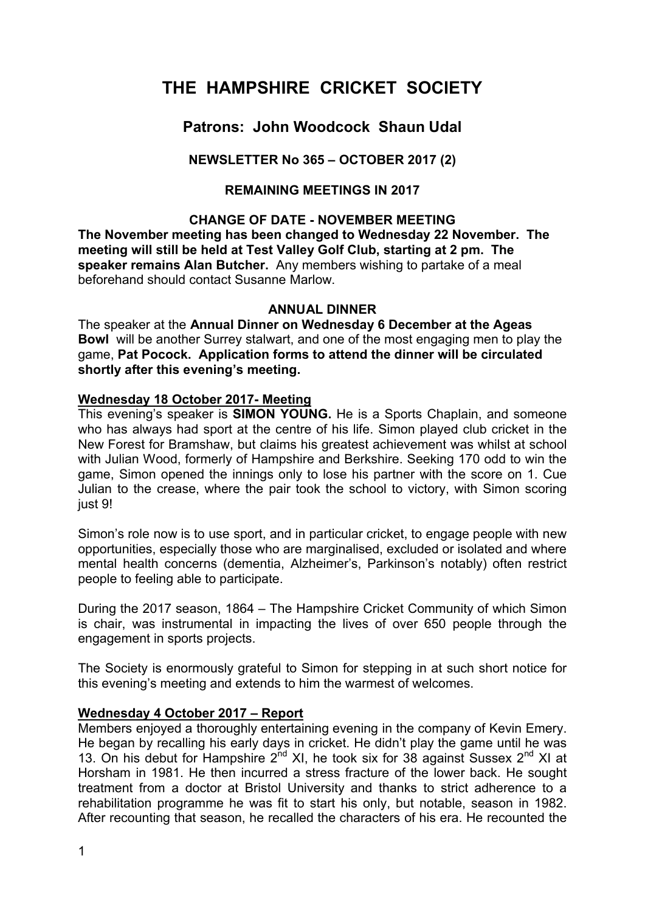# **THE HAMPSHIRE CRICKET SOCIETY**

# **Patrons: John Woodcock Shaun Udal**

## **NEWSLETTER No 365 – OCTOBER 2017 (2)**

## **REMAINING MEETINGS IN 2017**

#### **CHANGE OF DATE - NOVEMBER MEETING**

**The November meeting has been changed to Wednesday 22 November. The meeting will still be held at Test Valley Golf Club, starting at 2 pm. The speaker remains Alan Butcher.** Any members wishing to partake of a meal beforehand should contact Susanne Marlow.

#### **ANNUAL DINNER**

The speaker at the **Annual Dinner on Wednesday 6 December at the Ageas Bowl** will be another Surrey stalwart, and one of the most engaging men to play the game, **Pat Pocock. Application forms to attend the dinner will be circulated shortly after this evening's meeting.**

#### **Wednesday 18 October 2017- Meeting**

This evening's speaker is **SIMON YOUNG.** He is a Sports Chaplain, and someone who has always had sport at the centre of his life. Simon played club cricket in the New Forest for Bramshaw, but claims his greatest achievement was whilst at school with Julian Wood, formerly of Hampshire and Berkshire. Seeking 170 odd to win the game, Simon opened the innings only to lose his partner with the score on 1. Cue Julian to the crease, where the pair took the school to victory, with Simon scoring just 9!

Simon's role now is to use sport, and in particular cricket, to engage people with new opportunities, especially those who are marginalised, excluded or isolated and where mental health concerns (dementia, Alzheimer's, Parkinson's notably) often restrict people to feeling able to participate.

During the 2017 season, 1864 – The Hampshire Cricket Community of which Simon is chair, was instrumental in impacting the lives of over 650 people through the engagement in sports projects.

The Society is enormously grateful to Simon for stepping in at such short notice for this evening's meeting and extends to him the warmest of welcomes.

#### **Wednesday 4 October 2017 – Report**

Members enjoyed a thoroughly entertaining evening in the company of Kevin Emery. He began by recalling his early days in cricket. He didn't play the game until he was 13. On his debut for Hampshire 2<sup>nd</sup> XI, he took six for 38 against Sussex 2<sup>nd</sup> XI at Horsham in 1981. He then incurred a stress fracture of the lower back. He sought treatment from a doctor at Bristol University and thanks to strict adherence to a rehabilitation programme he was fit to start his only, but notable, season in 1982. After recounting that season, he recalled the characters of his era. He recounted the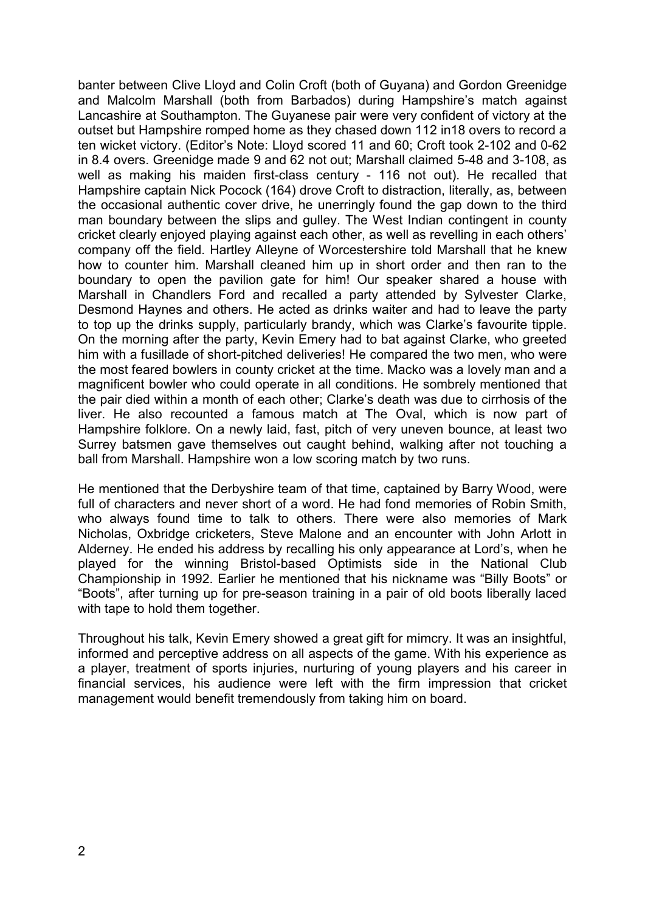banter between Clive Lloyd and Colin Croft (both of Guyana) and Gordon Greenidge and Malcolm Marshall (both from Barbados) during Hampshire's match against Lancashire at Southampton. The Guyanese pair were very confident of victory at the outset but Hampshire romped home as they chased down 112 in18 overs to record a ten wicket victory. (Editor's Note: Lloyd scored 11 and 60; Croft took 2-102 and 0-62 in 8.4 overs. Greenidge made 9 and 62 not out; Marshall claimed 5-48 and 3-108, as well as making his maiden first-class century - 116 not out). He recalled that Hampshire captain Nick Pocock (164) drove Croft to distraction, literally, as, between the occasional authentic cover drive, he unerringly found the gap down to the third man boundary between the slips and gulley. The West Indian contingent in county cricket clearly enjoyed playing against each other, as well as revelling in each others' company off the field. Hartley Alleyne of Worcestershire told Marshall that he knew how to counter him. Marshall cleaned him up in short order and then ran to the boundary to open the pavilion gate for him! Our speaker shared a house with Marshall in Chandlers Ford and recalled a party attended by Sylvester Clarke, Desmond Haynes and others. He acted as drinks waiter and had to leave the party to top up the drinks supply, particularly brandy, which was Clarke's favourite tipple. On the morning after the party, Kevin Emery had to bat against Clarke, who greeted him with a fusillade of short-pitched deliveries! He compared the two men, who were the most feared bowlers in county cricket at the time. Macko was a lovely man and a magnificent bowler who could operate in all conditions. He sombrely mentioned that the pair died within a month of each other; Clarke's death was due to cirrhosis of the liver. He also recounted a famous match at The Oval, which is now part of Hampshire folklore. On a newly laid, fast, pitch of very uneven bounce, at least two Surrey batsmen gave themselves out caught behind, walking after not touching a ball from Marshall. Hampshire won a low scoring match by two runs.

He mentioned that the Derbyshire team of that time, captained by Barry Wood, were full of characters and never short of a word. He had fond memories of Robin Smith, who always found time to talk to others. There were also memories of Mark Nicholas, Oxbridge cricketers, Steve Malone and an encounter with John Arlott in Alderney. He ended his address by recalling his only appearance at Lord's, when he played for the winning Bristol-based Optimists side in the National Club Championship in 1992. Earlier he mentioned that his nickname was "Billy Boots" or "Boots", after turning up for pre-season training in a pair of old boots liberally laced with tape to hold them together.

Throughout his talk, Kevin Emery showed a great gift for mimcry. It was an insightful, informed and perceptive address on all aspects of the game. With his experience as a player, treatment of sports injuries, nurturing of young players and his career in financial services, his audience were left with the firm impression that cricket management would benefit tremendously from taking him on board.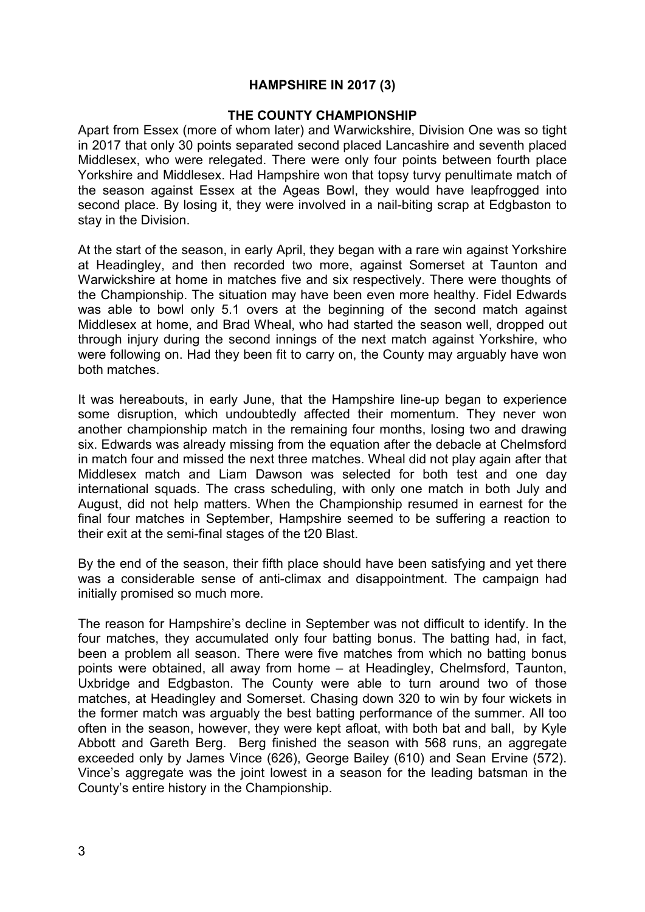#### **HAMPSHIRE IN 2017 (3)**

#### **THE COUNTY CHAMPIONSHIP**

Apart from Essex (more of whom later) and Warwickshire, Division One was so tight in 2017 that only 30 points separated second placed Lancashire and seventh placed Middlesex, who were relegated. There were only four points between fourth place Yorkshire and Middlesex. Had Hampshire won that topsy turvy penultimate match of the season against Essex at the Ageas Bowl, they would have leapfrogged into second place. By losing it, they were involved in a nail-biting scrap at Edgbaston to stay in the Division.

At the start of the season, in early April, they began with a rare win against Yorkshire at Headingley, and then recorded two more, against Somerset at Taunton and Warwickshire at home in matches five and six respectively. There were thoughts of the Championship. The situation may have been even more healthy. Fidel Edwards was able to bowl only 5.1 overs at the beginning of the second match against Middlesex at home, and Brad Wheal, who had started the season well, dropped out through injury during the second innings of the next match against Yorkshire, who were following on. Had they been fit to carry on, the County may arguably have won both matches.

It was hereabouts, in early June, that the Hampshire line-up began to experience some disruption, which undoubtedly affected their momentum. They never won another championship match in the remaining four months, losing two and drawing six. Edwards was already missing from the equation after the debacle at Chelmsford in match four and missed the next three matches. Wheal did not play again after that Middlesex match and Liam Dawson was selected for both test and one day international squads. The crass scheduling, with only one match in both July and August, did not help matters. When the Championship resumed in earnest for the final four matches in September, Hampshire seemed to be suffering a reaction to their exit at the semi-final stages of the t20 Blast.

By the end of the season, their fifth place should have been satisfying and yet there was a considerable sense of anti-climax and disappointment. The campaign had initially promised so much more.

The reason for Hampshire's decline in September was not difficult to identify. In the four matches, they accumulated only four batting bonus. The batting had, in fact, been a problem all season. There were five matches from which no batting bonus points were obtained, all away from home – at Headingley, Chelmsford, Taunton, Uxbridge and Edgbaston. The County were able to turn around two of those matches, at Headingley and Somerset. Chasing down 320 to win by four wickets in the former match was arguably the best batting performance of the summer. All too often in the season, however, they were kept afloat, with both bat and ball, by Kyle Abbott and Gareth Berg. Berg finished the season with 568 runs, an aggregate exceeded only by James Vince (626), George Bailey (610) and Sean Ervine (572). Vince's aggregate was the joint lowest in a season for the leading batsman in the County's entire history in the Championship.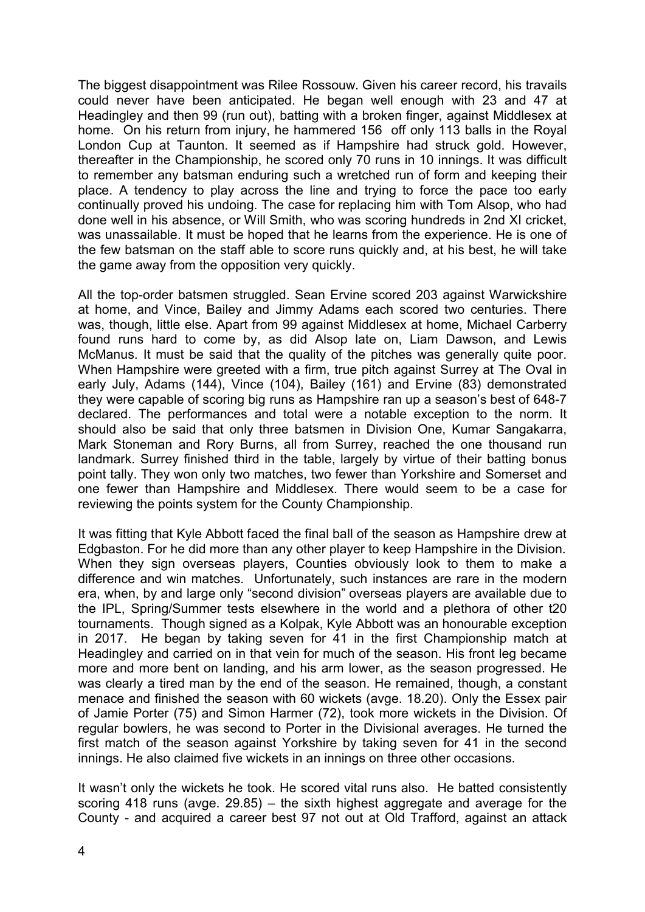The biggest disappointment was Rilee Rossouw. Given his career record, his travails could never have been anticipated. He began well enough with 23 and 47 at Headingley and then 99 (run out), batting with a broken finger, against Middlesex at home. On his return from injury, he hammered 156 off only 113 balls in the Royal London Cup at Taunton. It seemed as if Hampshire had struck gold. However, thereafter in the Championship, he scored only 70 runs in 10 innings. It was difficult to remember any batsman enduring such a wretched run of form and keeping their place. A tendency to play across the line and trying to force the pace too early continually proved his undoing. The case for replacing him with Tom Alsop, who had done well in his absence, or Will Smith, who was scoring hundreds in 2nd XI cricket, was unassailable. It must be hoped that he learns from the experience. He is one of the few batsman on the staff able to score runs quickly and, at his best, he will take the game away from the opposition very quickly.

All the top-order batsmen struggled. Sean Ervine scored 203 against Warwickshire at home, and Vince, Bailey and Jimmy Adams each scored two centuries. There was, though, little else. Apart from 99 against Middlesex at home, Michael Carberry found runs hard to come by, as did Alsop late on, Liam Dawson, and Lewis McManus. It must be said that the quality of the pitches was generally quite poor. When Hampshire were greeted with a firm, true pitch against Surrey at The Oval in early July, Adams (144), Vince (104), Bailey (161) and Ervine (83) demonstrated they were capable of scoring big runs as Hampshire ran up a season's best of 648-7 declared. The performances and total were a notable exception to the norm. It should also be said that only three batsmen in Division One, Kumar Sangakarra, Mark Stoneman and Rory Burns, all from Surrey, reached the one thousand run landmark. Surrey finished third in the table, largely by virtue of their batting bonus point tally. They won only two matches, two fewer than Yorkshire and Somerset and one fewer than Hampshire and Middlesex. There would seem to be a case for reviewing the points system for the County Championship.

It was fitting that Kyle Abbott faced the final ball of the season as Hampshire drew at Edgbaston. For he did more than any other player to keep Hampshire in the Division. When they sign overseas players, Counties obviously look to them to make a difference and win matches. Unfortunately, such instances are rare in the modern era, when, by and large only "second division" overseas players are available due to the IPL, Spring/Summer tests elsewhere in the world and a plethora of other t20 tournaments. Though signed as a Kolpak, Kyle Abbott was an honourable exception in 2017. He began by taking seven for 41 in the first Championship match at Headingley and carried on in that vein for much of the season. His front leg became more and more bent on landing, and his arm lower, as the season progressed. He was clearly a tired man by the end of the season. He remained, though, a constant menace and finished the season with 60 wickets (avge. 18.20). Only the Essex pair of Jamie Porter (75) and Simon Harmer (72), took more wickets in the Division. Of regular bowlers, he was second to Porter in the Divisional averages. He turned the first match of the season against Yorkshire by taking seven for 41 in the second innings. He also claimed five wickets in an innings on three other occasions.

It wasn't only the wickets he took. He scored vital runs also. He batted consistently scoring 418 runs (avge. 29.85) – the sixth highest aggregate and average for the County - and acquired a career best 97 not out at Old Trafford, against an attack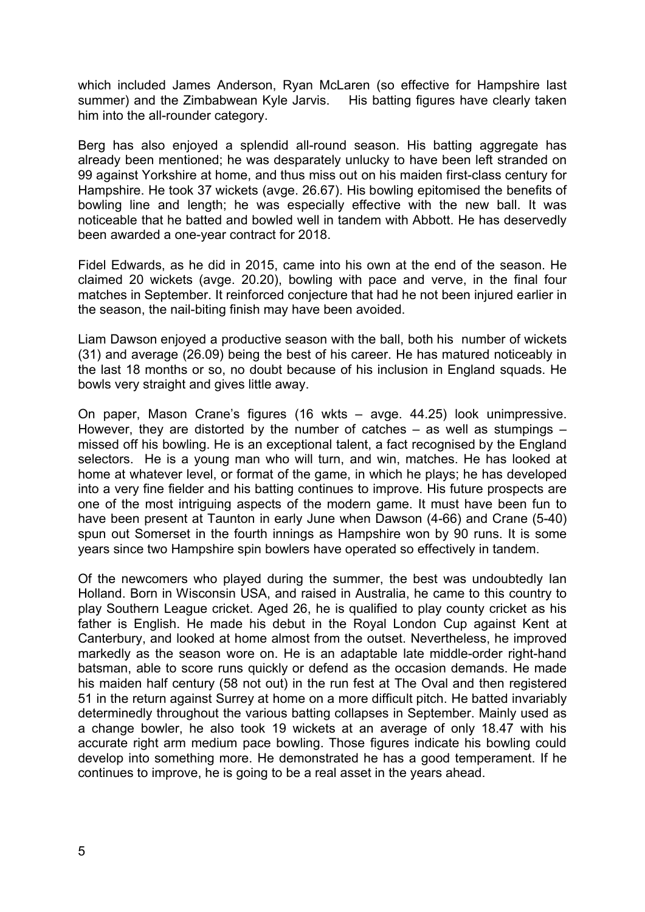which included James Anderson, Ryan McLaren (so effective for Hampshire last summer) and the Zimbabwean Kyle Jarvis. His batting figures have clearly taken him into the all-rounder category.

Berg has also enjoyed a splendid all-round season. His batting aggregate has already been mentioned; he was desparately unlucky to have been left stranded on 99 against Yorkshire at home, and thus miss out on his maiden first-class century for Hampshire. He took 37 wickets (avge. 26.67). His bowling epitomised the benefits of bowling line and length; he was especially effective with the new ball. It was noticeable that he batted and bowled well in tandem with Abbott. He has deservedly been awarded a one-year contract for 2018.

Fidel Edwards, as he did in 2015, came into his own at the end of the season. He claimed 20 wickets (avge. 20.20), bowling with pace and verve, in the final four matches in September. It reinforced conjecture that had he not been injured earlier in the season, the nail-biting finish may have been avoided.

Liam Dawson enjoyed a productive season with the ball, both his number of wickets (31) and average (26.09) being the best of his career. He has matured noticeably in the last 18 months or so, no doubt because of his inclusion in England squads. He bowls very straight and gives little away.

On paper, Mason Crane's figures (16 wkts – avge. 44.25) look unimpressive. However, they are distorted by the number of catches  $-$  as well as stumpings  $$ missed off his bowling. He is an exceptional talent, a fact recognised by the England selectors. He is a young man who will turn, and win, matches. He has looked at home at whatever level, or format of the game, in which he plays; he has developed into a very fine fielder and his batting continues to improve. His future prospects are one of the most intriguing aspects of the modern game. It must have been fun to have been present at Taunton in early June when Dawson (4-66) and Crane (5-40) spun out Somerset in the fourth innings as Hampshire won by 90 runs. It is some years since two Hampshire spin bowlers have operated so effectively in tandem.

Of the newcomers who played during the summer, the best was undoubtedly Ian Holland. Born in Wisconsin USA, and raised in Australia, he came to this country to play Southern League cricket. Aged 26, he is qualified to play county cricket as his father is English. He made his debut in the Royal London Cup against Kent at Canterbury, and looked at home almost from the outset. Nevertheless, he improved markedly as the season wore on. He is an adaptable late middle-order right-hand batsman, able to score runs quickly or defend as the occasion demands. He made his maiden half century (58 not out) in the run fest at The Oval and then registered 51 in the return against Surrey at home on a more difficult pitch. He batted invariably determinedly throughout the various batting collapses in September. Mainly used as a change bowler, he also took 19 wickets at an average of only 18.47 with his accurate right arm medium pace bowling. Those figures indicate his bowling could develop into something more. He demonstrated he has a good temperament. If he continues to improve, he is going to be a real asset in the years ahead.